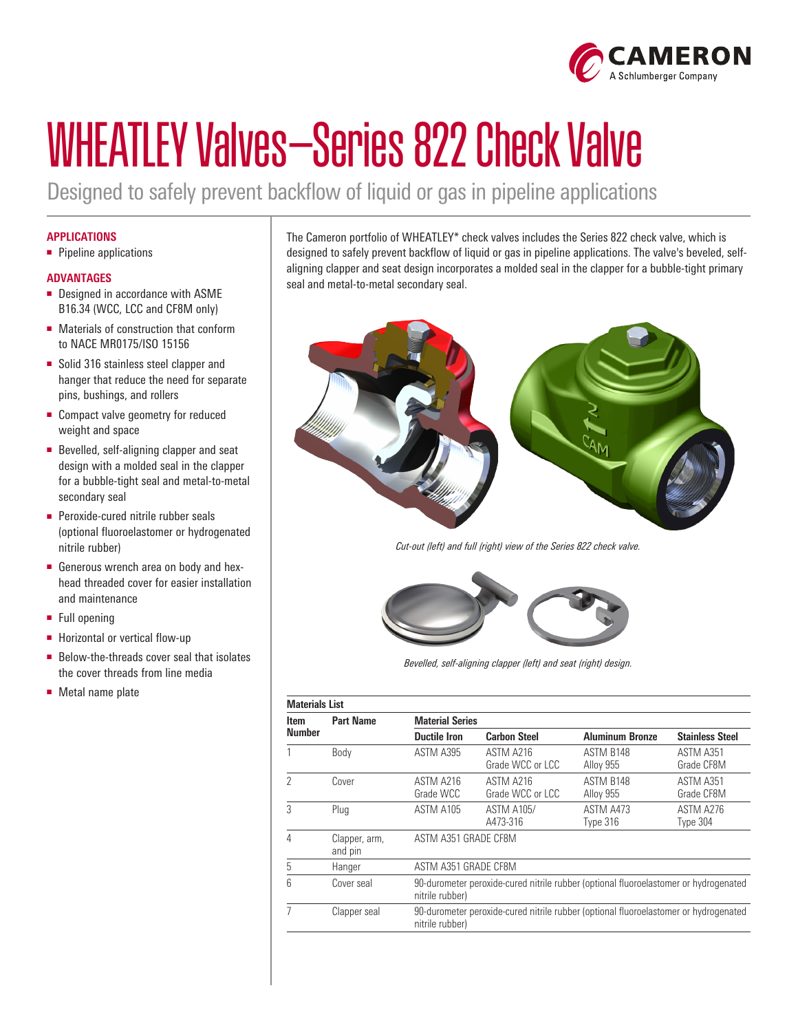

# WHEATLEY Valves—Series 822 Check Valve

Designed to safely prevent backflow of liquid or gas in pipeline applications

### **APPLICATIONS**

■ Pipeline applications

#### **ADVANTAGES**

- Designed in accordance with ASME B16.34 (WCC, LCC and CF8M only)
- Materials of construction that conform to NACE MR0175/ISO 15156
- Solid 316 stainless steel clapper and hanger that reduce the need for separate pins, bushings, and rollers
- Compact valve geometry for reduced weight and space
- Bevelled, self-aligning clapper and seat design with a molded seal in the clapper for a bubble-tight seal and metal-to-metal secondary seal
- Peroxide-cured nitrile rubber seals (optional fluoroelastomer or hydrogenated nitrile rubber)
- Generous wrench area on body and hexhead threaded cover for easier installation and maintenance
- Full opening
- Horizontal or vertical flow-up
- Below-the-threads cover seal that isolates the cover threads from line media
- Metal name plate

The Cameron portfolio of WHEATLEY\* check valves includes the Series 822 check valve, which is designed to safely prevent backflow of liquid or gas in pipeline applications. The valve's beveled, selfaligning clapper and seat design incorporates a molded seal in the clapper for a bubble-tight primary seal and metal-to-metal secondary seal.



*Cut-out (left) and full (right) view of the Series 822 check valve.*



*Bevelled, self-aligning clapper (left) and seat (right) design.*

| <b>Materials List</b>        |                          |                                                                                                         |                               |                        |                         |  |  |
|------------------------------|--------------------------|---------------------------------------------------------------------------------------------------------|-------------------------------|------------------------|-------------------------|--|--|
| <b>Item</b><br><b>Number</b> | <b>Part Name</b>         | <b>Material Series</b>                                                                                  |                               |                        |                         |  |  |
|                              |                          | <b>Ductile Iron</b>                                                                                     | <b>Carbon Steel</b>           | <b>Aluminum Bronze</b> | <b>Stainless Steel</b>  |  |  |
|                              | Body                     | ASTM A395                                                                                               | ASTM A216<br>Grade WCC or LCC | ASTM B148<br>Alloy 955 | ASTM A351<br>Grade CF8M |  |  |
| 2                            | Cover                    | ASTM A216<br>Grade WCC                                                                                  | ASTM A216<br>Grade WCC or LCC | ASTM B148<br>Alloy 955 | ASTM A351<br>Grade CF8M |  |  |
| 3                            | Plug                     | ASTM A105                                                                                               | <b>ASTM A105/</b><br>A473-316 | ASTM A473<br>Type 316  | ASTM A276<br>Type 304   |  |  |
| 4                            | Clapper, arm,<br>and pin | ASTM A351 GRADE CF8M                                                                                    |                               |                        |                         |  |  |
| 5                            | Hanger                   | ASTM A351 GRADE CF8M                                                                                    |                               |                        |                         |  |  |
| հ                            | Cover seal               | 90-durometer peroxide-cured nitrile rubber (optional fluoroelastomer or hydrogenated<br>nitrile rubber) |                               |                        |                         |  |  |
|                              | Clapper seal             | 90-durometer peroxide-cured nitrile rubber (optional fluoroelastomer or hydrogenated<br>nitrile rubber) |                               |                        |                         |  |  |